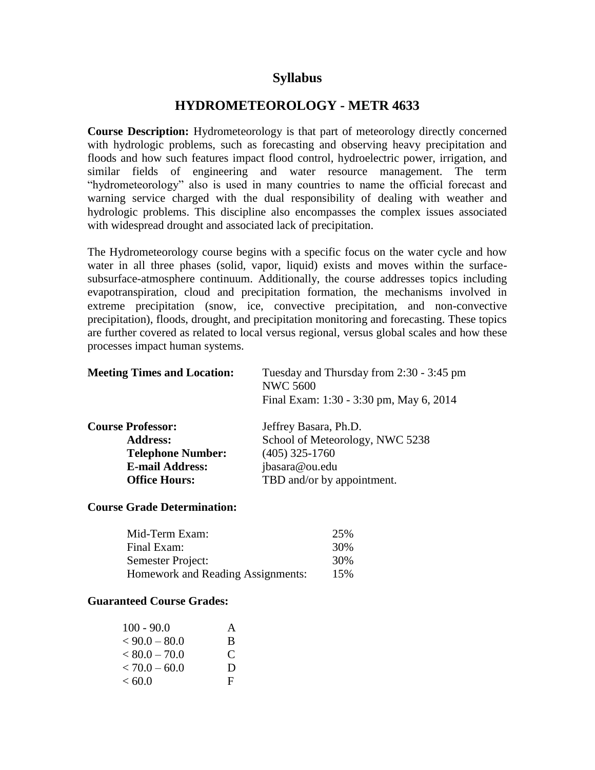# **Syllabus**

# **HYDROMETEOROLOGY - METR 4633**

**Course Description:** Hydrometeorology is that part of meteorology directly concerned with hydrologic problems, such as forecasting and observing heavy precipitation and floods and how such features impact flood control, hydroelectric power, irrigation, and similar fields of engineering and water resource management. The term "hydrometeorology" also is used in many countries to name the official forecast and warning service charged with the dual responsibility of dealing with weather and hydrologic problems. This discipline also encompasses the complex issues associated with widespread drought and associated lack of precipitation.

The Hydrometeorology course begins with a specific focus on the water cycle and how water in all three phases (solid, vapor, liquid) exists and moves within the surfacesubsurface-atmosphere continuum. Additionally, the course addresses topics including evapotranspiration, cloud and precipitation formation, the mechanisms involved in extreme precipitation (snow, ice, convective precipitation, and non-convective precipitation), floods, drought, and precipitation monitoring and forecasting. These topics are further covered as related to local versus regional, versus global scales and how these processes impact human systems.

| <b>Meeting Times and Location:</b> | Tuesday and Thursday from 2:30 - 3:45 pm<br><b>NWC 5600</b><br>Final Exam: 1:30 - 3:30 pm, May 6, 2014 |  |
|------------------------------------|--------------------------------------------------------------------------------------------------------|--|
| <b>Course Professor:</b>           | Jeffrey Basara, Ph.D.                                                                                  |  |
| <b>Address:</b>                    | School of Meteorology, NWC 5238                                                                        |  |
| <b>Telephone Number:</b>           | $(405)$ 325-1760                                                                                       |  |
| <b>E-mail Address:</b>             | jbasara@ou.edu                                                                                         |  |
| <b>Office Hours:</b>               | TBD and/or by appointment.                                                                             |  |

#### **Course Grade Determination:**

| Mid-Term Exam:                    | 25% |
|-----------------------------------|-----|
| Final Exam:                       | 30% |
| Semester Project:                 | 30% |
| Homework and Reading Assignments: | 15% |

#### **Guaranteed Course Grades:**

| $100 - 90.0$    | A |
|-----------------|---|
| $< 90.0 - 80.0$ | B |
| $< 80.0 - 70.0$ | € |
| $< 70.0 - 60.0$ | D |
| < 60.0          | F |